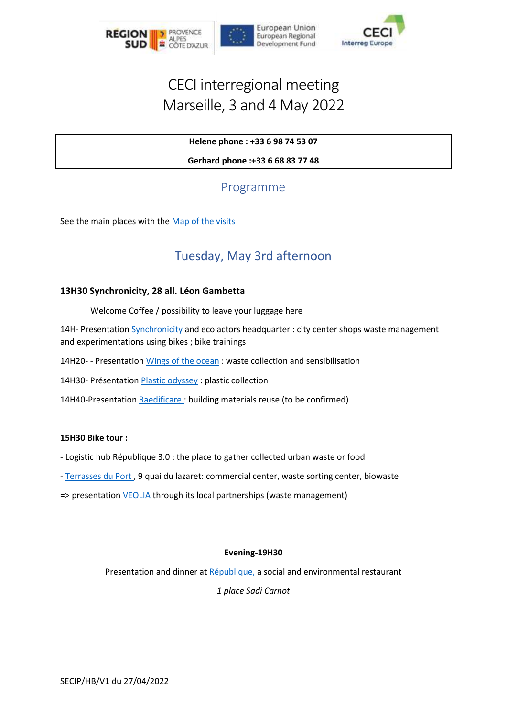

## CECI interregional meeting Marseille, 3 and 4 May 2022

## **Helene phone : +33 6 98 74 53 07**

**Gerhard phone :+33 6 68 83 77 48**

## Programme

See the main places with the [Map of the visits](https://www.google.com/maps/d/viewer?mid=1S029y6g7CUzYMZU4w1JNL-fu2yAX5fsf&hl=fr&usp=sharing)

## Tuesday, May 3rd afternoon

#### **13H30 Synchronicity, 28 all. Léon Gambetta**

Welcome Coffee / possibility to leave your luggage here

14H- Presentatio[n Synchronicity](http://synchronicity.team/) and eco actors headquarter : city center shops waste management and experimentations using bikes ; bike trainings

14H20- - Presentatio[n Wings of the ocean](https://www.facebook.com/wingsoftheoceanmarseille/) : waste collection and sensibilisation

14H30- Présentatio[n Plastic odyssey](https://plasticodyssey.org/) : plastic collection

14H40-Presentation [Raedificare](https://raedificare.com/) : building materials reuse (to be confirmed)

#### **15H30 Bike tour :**

- Logistic hub République 3.0 : the place to gather collected urban waste or food

- [Terrasses du Port](https://www.lesterrassesduport.com/developpement-durable) , 9 quai du lazaret: commercial center, waste sorting center, biowaste

=> presentation [VEOLIA](https://www.veolia.fr/) through its local partnerships (waste management)

## **Evening-19H30**

Presentation and dinner at [République,](https://restaurantlerepublique.com/) a social and environmental restaurant

*1 place Sadi Carnot*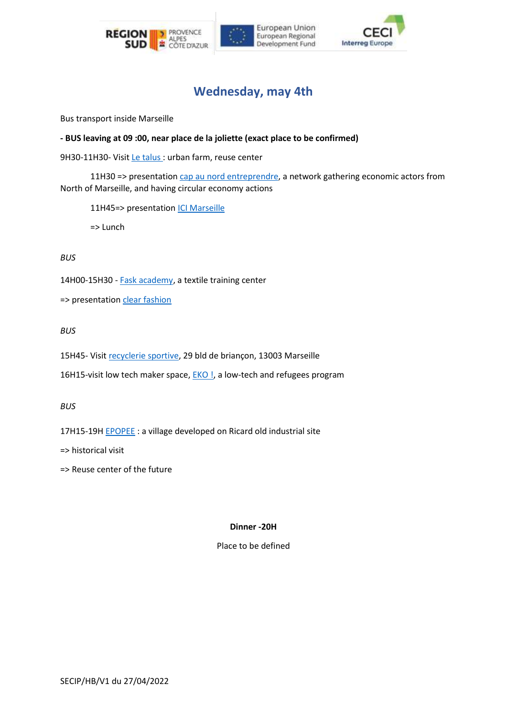





## **Wednesday, may 4th**

Bus transport inside Marseille

**- BUS leaving at 09 :00, near place de la joliette (exact place to be confirmed)**

9H30-11H30- Visi[t Le talus](http://www.letalus.com/) : urban farm, reuse center

11H30 => presentation [cap au nord entreprendre,](https://www.capaunord.fr/) a network gathering economic actors from North of Marseille, and having circular economy actions

11H45=> presentation **ICI Marseille** 

=> Lunch

#### *BUS*

14H00-15H30 - [Fask academy,](https://fask-academy.org/) a textile training center

=> presentation [clear fashion](https://www.clear-fashion.com/)

*BUS*

15H45- Visi[t recyclerie sportive,](https://recyclerie-sportive.org/ma-recyclerie-sportive/ma-rs-la-plus-proche/marseille-bougainville/) 29 bld de briançon, 13003 Marseille

16H15-visit low tech maker space, **EKO !**, a low-tech and refugees program

*BUS*

17H15-19H **EPOPEE** : a village developed on Ricard old industrial site

=> historical visit

=> Reuse center of the future

## **Dinner -20H**

Place to be defined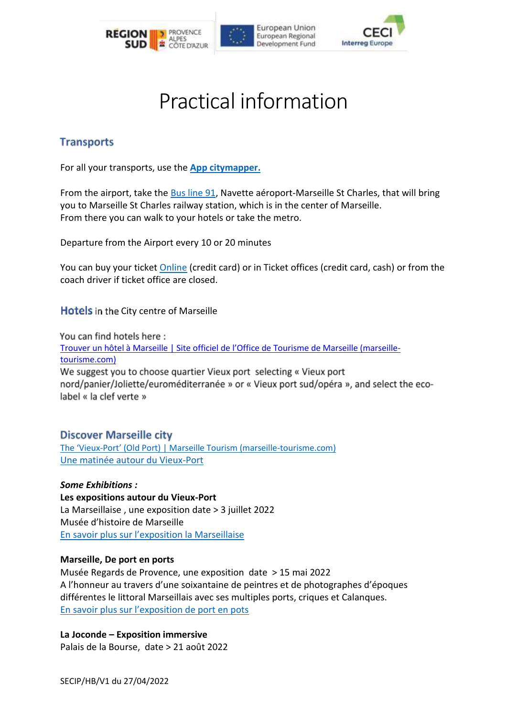





# Practical information

## **Transports**

For all your transports, use the **[App citymapper.](https://citymapper.com/marseille)**

From the airport, take the [Bus line 91,](https://www.lepilote.com/fr/part10/navettes-aeroport/1062/marseille-st-charles/1070?msclkid=e3d44bb0b4b011ecbd0c6bcfcdc4d6cc) Navette aéroport-Marseille St Charles, that will bring you to Marseille St Charles railway station, which is in the center of Marseille. From there you can walk to your hotels or take the metro.

Departure from the Airport every 10 or 20 minutes

You can buy your ticket [Online](https://store.marseille.aeroport.fr/bus.html) (credit card) or in Ticket offices (credit card, cash) or from the coach driver if ticket office are closed.

Hotels in the City centre of Marseille

You can find hotels here: [Trouver un hôtel à Marseille | Site officiel de l'Office de Tourisme de Marseille \(marseille](https://www.marseille-tourisme.com/organisez-votre-sejour/hebergements/hotels-a-marseille/)[tourisme.com\)](https://www.marseille-tourisme.com/organisez-votre-sejour/hebergements/hotels-a-marseille/) We suggest you to choose quartier Vieux port selecting « Vieux port nord/panier/Joliette/euroméditerranée » or « Vieux port sud/opéra », and select the ecolabel « la clef verte »

**Discover Marseille city** 

The 'Vieux-[Port' \(Old Port\) | Marseille Tourism \(marseille](https://www.marseille-tourisme.com/en/discover-marseille/culture-heritage/the-vieux-port-old-port/)-tourisme.com) [Une matinée autour du Vieux-Port](https://www.marseille-tourisme.com/organisez-votre-sejour/marseille-en-famille/marseille-pratique-en-famille/une-journee-en-famille-a-marseille/)

*Some Exhibitions :*  **Les expositions autour du Vieux-Port** La Marseillaise , une exposition date > 3 juillet 2022 Musée d'histoire de Marseille [En savoir plus sur l'exposition la Marseillaise](https://www.musee-histoire-marseille-voie-historique.fr/fr/expositions)

## **Marseille, De port en ports**

Musée Regards de Provence, une exposition date > 15 mai 2022 A l'honneur au travers d'une soixantaine de peintres et de photographes d'époques différentes le littoral Marseillais avec ses multiples ports, criques et Calanques. [En savoir plus sur l'exposition de port en pots](https://www.museeregardsdeprovence.com/exposition/marseille-de-port-en-ports)

**La Joconde – Exposition immersive**

Palais de la Bourse, date > 21 août 2022